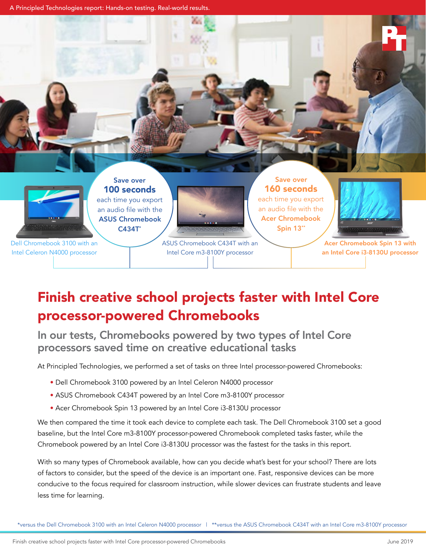A Principled Technologies report: Hands-on testing. Real-world results.



# Finish creative school projects faster with Intel Core processor-powered Chromebooks

In our tests, Chromebooks powered by two types of Intel Core processors saved time on creative educational tasks

At Principled Technologies, we performed a set of tasks on three Intel processor-powered Chromebooks:

- Dell Chromebook 3100 powered by an Intel Celeron N4000 processor
- ASUS Chromebook C434T powered by an Intel Core m3-8100Y processor
- Acer Chromebook Spin 13 powered by an Intel Core i3-8130U processor

We then compared the time it took each device to complete each task. The Dell Chromebook 3100 set a good baseline, but the Intel Core m3-8100Y processor-powered Chromebook completed tasks faster, while the Chromebook powered by an Intel Core i3-8130U processor was the fastest for the tasks in this report.

With so many types of Chromebook available, how can you decide what's best for your school? There are lots of factors to consider, but the speed of the device is an important one. Fast, responsive devices can be more conducive to the focus required for classroom instruction, while slower devices can frustrate students and leave less time for learning.

\*versus the Dell Chromebook 3100 with an Intel Celeron N4000 processor | \*\*versus the ASUS Chromebook C434T with an Intel Core m3-8100Y processor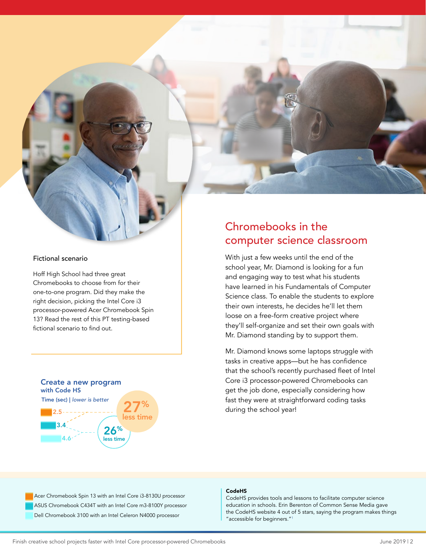

#### Fictional scenario

Hoff High School had three great Chromebooks to choose from for their one-to-one program. Did they make the right decision, picking the Intel Core i3 processor-powered Acer Chromebook Spin 13? Read the rest of this PT testing-based fictional scenario to find out.



### Chromebooks in the computer science classroom

With just a few weeks until the end of the school year, Mr. Diamond is looking for a fun and engaging way to test what his students have learned in his Fundamentals of Computer Science class. To enable the students to explore their own interests, he decides he'll let them loose on a free-form creative project where they'll self-organize and set their own goals with Mr. Diamond standing by to support them.

Mr. Diamond knows some laptops struggle with tasks in creative apps—but he has confidence that the school's recently purchased fleet of Intel Core i3 processor-powered Chromebooks can get the job done, especially considering how fast they were at straightforward coding tasks during the school year!

Acer Chromebook Spin 13 with an Intel Core i3-8130U processor ASUS Chromebook C434T with an Intel Core m3-8100Y processor Dell Chromebook 3100 with an Intel Celeron N4000 processor

#### CodeHS

CodeHS provides tools and lessons to facilitate computer science education in schools. Erin Berenton of Common Sense Media gave the CodeHS website 4 out of 5 stars, saying the program makes things "accessible for beginners.["1](#page-4-0)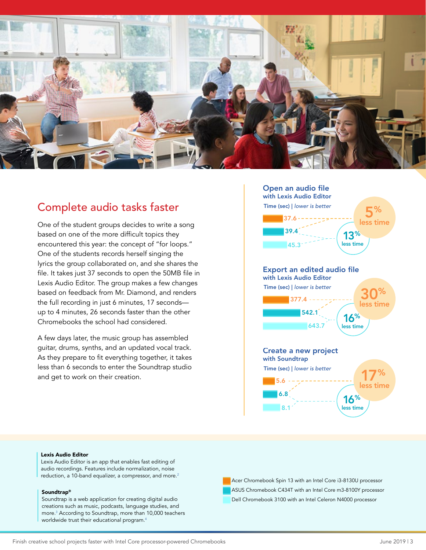

### Complete audio tasks faster

One of the student groups decides to write a song based on one of the more difficult topics they encountered this year: the concept of "for loops." One of the students records herself singing the lyrics the group collaborated on, and she shares the file. It takes just 37 seconds to open the 50MB file in Lexis Audio Editor. The group makes a few changes based on feedback from Mr. Diamond, and renders the full recording in just 6 minutes, 17 seconds up to 4 minutes, 26 seconds faster than the other Chromebooks the school had considered.

A few days later, the music group has assembled guitar, drums, synths, and an updated vocal track. As they prepare to fit everything together, it takes less than 6 seconds to enter the Soundtrap studio and get to work on their creation.



#### Lexis Audio Editor

Lexis Audio Editor is an app that enables fast editing of audio recordings. Features include normalization, noise reduction, a 10-band equalizer, a compressor, and more.<sup>2</sup>

#### Soundtrap®

Soundtrap is a web application for creating digital audio creations such as music, podcasts, language studies, and more.3 According to Soundtrap, more than 10,000 teachers worldwide trust their educational program.4

Acer Chromebook Spin 13 with an Intel Core i3-8130U processor ASUS Chromebook C434T with an Intel Core m3-8100Y processor Dell Chromebook 3100 with an Intel Celeron N4000 processor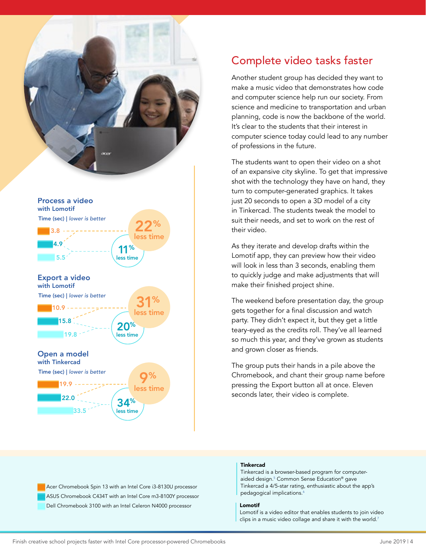

### Complete video tasks faster

Another student group has decided they want to make a music video that demonstrates how code and computer science help run our society. From science and medicine to transportation and urban planning, code is now the backbone of the world. It's clear to the students that their interest in computer science today could lead to any number of professions in the future.

The students want to open their video on a shot of an expansive city skyline. To get that impressive shot with the technology they have on hand, they turn to computer-generated graphics. It takes just 20 seconds to open a 3D model of a city in Tinkercad. The students tweak the model to suit their needs, and set to work on the rest of their video.

As they iterate and develop drafts within the Lomotif app, they can preview how their video will look in less than 3 seconds, enabling them to quickly judge and make adjustments that will make their finished project shine.

The weekend before presentation day, the group gets together for a final discussion and watch party. They didn't expect it, but they get a little teary-eyed as the credits roll. They've all learned so much this year, and they've grown as students and grown closer as friends.

The group puts their hands in a pile above the Chromebook, and chant their group name before pressing the Export button all at once. Eleven seconds later, their video is complete.

Acer Chromebook Spin 13 with an Intel Core i3-8130U processor ASUS Chromebook C434T with an Intel Core m3-8100Y processor Dell Chromebook 3100 with an Intel Celeron N4000 processor

#### Tinkercad

Tinkercad is a browser-based program for computeraided design.5 Common Sense Education® gave Tinkercad a 4/5-star rating, enthusiastic about the app's pedagogical implications.<sup>6</sup>

#### Lomotif

Lomotif is a video editor that enables students to join video clips in a music video collage and share it with the world.<sup>7</sup>